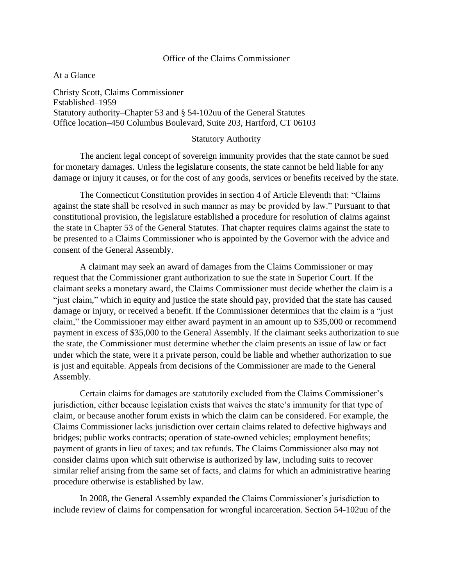#### Office of the Claims Commissioner

At a Glance

Christy Scott, Claims Commissioner Established–1959 Statutory authority–Chapter 53 and § 54-102uu of the General Statutes Office location–450 Columbus Boulevard, Suite 203, Hartford, CT 06103

#### Statutory Authority

The ancient legal concept of sovereign immunity provides that the state cannot be sued for monetary damages. Unless the legislature consents, the state cannot be held liable for any damage or injury it causes, or for the cost of any goods, services or benefits received by the state.

The Connecticut Constitution provides in section 4 of Article Eleventh that: "Claims against the state shall be resolved in such manner as may be provided by law." Pursuant to that constitutional provision, the legislature established a procedure for resolution of claims against the state in Chapter 53 of the General Statutes. That chapter requires claims against the state to be presented to a Claims Commissioner who is appointed by the Governor with the advice and consent of the General Assembly.

A claimant may seek an award of damages from the Claims Commissioner or may request that the Commissioner grant authorization to sue the state in Superior Court. If the claimant seeks a monetary award, the Claims Commissioner must decide whether the claim is a "just claim," which in equity and justice the state should pay, provided that the state has caused damage or injury, or received a benefit. If the Commissioner determines that the claim is a "just claim," the Commissioner may either award payment in an amount up to \$35,000 or recommend payment in excess of \$35,000 to the General Assembly. If the claimant seeks authorization to sue the state, the Commissioner must determine whether the claim presents an issue of law or fact under which the state, were it a private person, could be liable and whether authorization to sue is just and equitable. Appeals from decisions of the Commissioner are made to the General Assembly.

Certain claims for damages are statutorily excluded from the Claims Commissioner's jurisdiction, either because legislation exists that waives the state's immunity for that type of claim, or because another forum exists in which the claim can be considered. For example, the Claims Commissioner lacks jurisdiction over certain claims related to defective highways and bridges; public works contracts; operation of state-owned vehicles; employment benefits; payment of grants in lieu of taxes; and tax refunds. The Claims Commissioner also may not consider claims upon which suit otherwise is authorized by law, including suits to recover similar relief arising from the same set of facts, and claims for which an administrative hearing procedure otherwise is established by law.

In 2008, the General Assembly expanded the Claims Commissioner's jurisdiction to include review of claims for compensation for wrongful incarceration. Section 54-102uu of the